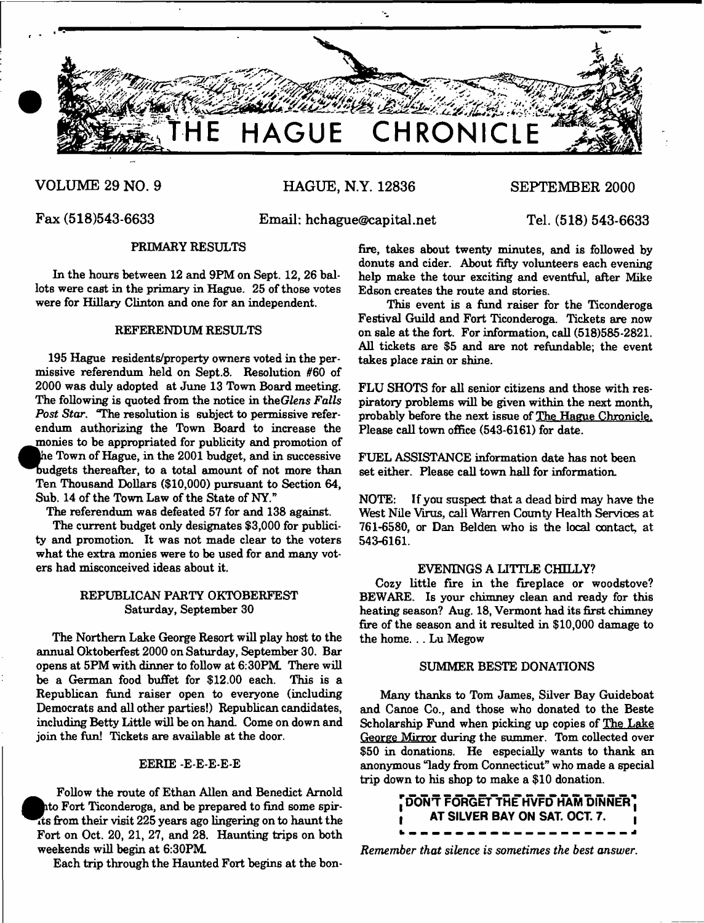

# **VOLUME 29 NO. 9 HAGUE, N.Y. 12836 SEPTEMBER 2000**

**Fax (518)543-6633 Email: [hchague@capital.net](mailto:hchague@capital.net) Tel. (518) 543-6633**

# **PRIMARY RESULTS**

**In the hours between 12 and 9PM on Sept. 12, 26 ballots were cast in the primary in Hague. 25 of those votes were for Hillary Clinton and one for an independent.**

# **REFERENDUM RESULTS**

the Town of Hague, in the 2001 budget, and in successive<br>budgets thereafter, to a total amount of not more than<br>Ton Thousand Dellars (\$10,000) purpoint to Soction 64 **195 Hague residents/property owners voted in the permissive referendum held on Sept.8. Resolution #60 of 2000 was duly adopted at June 13 Town Board meeting. The following is quoted from the notice in** *theGlens Falls Post Star***. "The resolution is subject to permissive referendum authorizing the Town Board to increase the monies to be appropriated for publicity and promotion of he Town of Hague, in the 2001 budget, and in successive Ten Thousand Dollars (\$10,000) pursuant to Section 64, Sub. 14 of the Town Law of the State of NY."**

**The referendum was defeated 57 for and 138 against.**

**The current budget only designates \$3,000 for publicity and promotion. It was not made clear to the voters what the extra monies were to be used for and many voters had misconceived ideas about it.**

# **REPUBLICAN PARTY OKTOBERFEST Saturday, September 30**

**The Northern Lake George Resort will play host to the annual Oktoberfest 2000 on Saturday, September 30. Bar opens at 5PM with dinner to follow at 6:30PM. There will be a German food buffet for \$12.00 each. This is a Republican fund raiser open to everyone (including Democrats and all other parties!) Republican candidates, including Betty Little will be on hand. Come on down and join the fun! Tickets are available at the door.**

# **EERIE -E-E-E-E-E**

**Follow the route of Ethan Allen and Benedict Arnold ito Fort Ticonderoga, and be prepared to find some spirits from their visit 225 years ago lingering on to haunt the Fort on Oct. 20, 21, 27, and 28. Haunting trips on both weekends will begin at 6:30PM**

**Each trip through the Haunted Fort begins at the bon-**

**fire, takes about twenty minutes, and is followed by donuts and cider. About fifty volunteers each evening help make the tour exciting and eventful, after Mike Edson creates the route and stories.**

**This event is a fund raiser for the Ticonderoga Festival Guild and Fort Ticonderoga. Tickets are now on sale at the fort. For information, call (518)585-2821. All tickets are \$5 and are not refundable; the event takes place rain or shine.**

**FLU SHOTS for all senior citizens and those with respiratory problems will be given within the next month, probably before the next issue of The Hague Chronicle. Please call town office (543-6161) for date.**

**FUEL ASSISTANCE information date has not been set either. Please call town hall for information.**

**NOTE: If you suspect that a dead bird may have the West Nile Virus, call Warren County Health Services at 761-6580, or Dan Belden who is the local contact, at 543-6161.**

## **EVENINGS A LITTLE CHILLY?**

**Cozy little fire in the fireplace or woodstove? BEWARE. Is your chimney clean and ready for this heating season? Aug. 18, Vermont had its first chimney fire of the season and it resulted in \$10,000 damage to the home. .. Lu Megow**

# **SUMMER BESTE DONATIONS**

**Many thanks to Tom James, Silver Bay Guideboat and Canoe Co., and those who donated to the Beste Scholarship Fund when picking up copies of The Lake George Mirror during the summer. Tom collected over \$50 in donations. He especially wants to thank an anonymous "lady from Connecticut" who made a special trip down to his shop to make a \$10 donation.**



*Remember that silence is sometimes the best answer***.**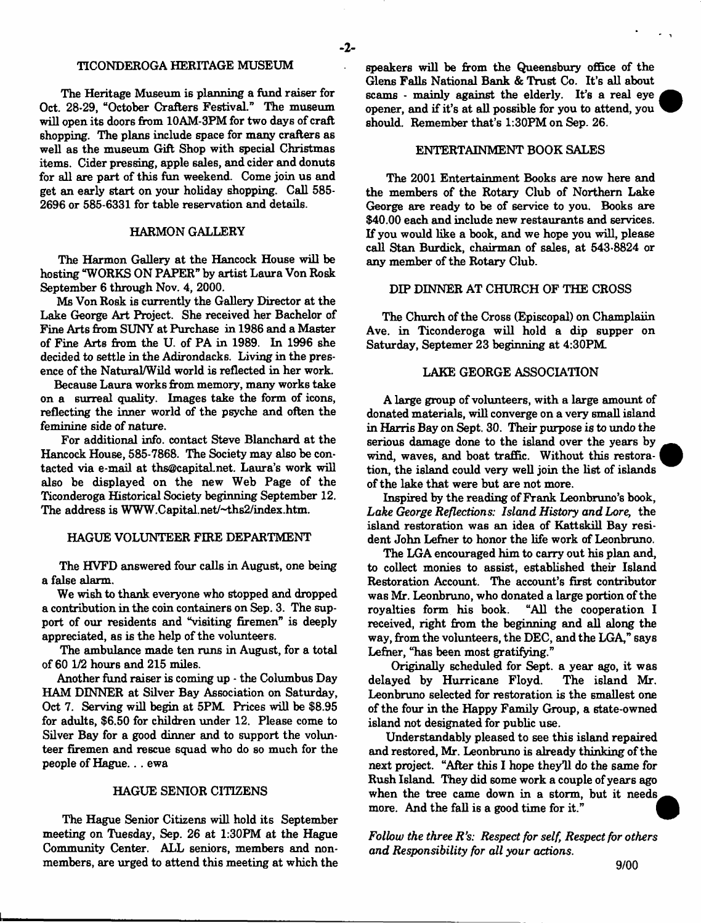# **TICONDEROGA HERITAGE MUSEUM**

**The Heritage Museum is planning a fund raiser for Oct. 28-29, "October Crafters Festival." The museum will open its doors from 10AM-3PM for two days of craft shopping. The plans include space for many crafters as well as the museum Gift Shop with special Christmas items. Cider pressing, apple sales, and cider and donuts for all are part of this fun weekend. Come join us and get an early start on your holiday shopping. Call 585- 2696 or 585-6331 for table reservation and details.**

# **HARMON GALLERY**

**The Harmon Gallery at the Hancock House will be hosting "WORKS ON PAPER" by artist Laura Von Rosk September 6 through Nov. 4, 2000.**

**Ms Von Rosk is currently the Gallery Director at the Lake George Art Project. She received her Bachelor of Fine Arts from SUNY at Purchase in 1986 and a Master of Fine Arts from the U. of PA in 1989. In 1996 she decided to settle in the Adirondacks. Living in the presence of the Natural/Wild world is reflected in her work.**

**Because Laura works from memory, many works take on a surreal quality. Images take the form of icons, reflecting the inner world of the psyche and often the feminine side of nature.**

**For additional info, contact Steve Blanchard at the Hancock House, 585-7868. The Society may also be contacted via e-mail at [ths@capital.net.](mailto:ths@capital.net) Laura's work will also be displayed on the new Web Page of the Ticonderoga Historical Society beginning September 12. The address is [WWW.Capital.net/-4hs2/index.htm](http://WWW.Capital.net/-4hs2/index.htm).**

# **HAGUE VOLUNTEER FIRE DEPARTMENT**

**The HVFD answered four calls in August, one being a false alarm.**

**We wish to thank everyone who stopped and dropped a contribution in the coin containers on Sep. 3. The support of our residents and "visiting firemen" is deeply appreciated, as is the help of the volunteers.**

**The ambulance made ten runs in August, for a total of 60 1/2 hours and 215 miles.**

**Another fund raiser is coming up - the Columbus Day HAM DINNER at Silver Bay Association on Saturday, Oct 7. Serving will begin at 5PM. Prices will be \$8.95 for adults, \$6.50 for children under 12. Please come to Silver Bay for a good dinner and to support the volunteer firemen and rescue squad who do so much for the people of Hague.. . ewa**

#### **HAGUE SENIOR CITIZENS**

**The Hague Senior Citizens will hold its September meeting on Tuesday, Sep. 26 at 1:30PM at the Hague Community Center. ALL seniors, members and nonmembers, are urged to attend this meeting at which the**

**speakers will be from the Queensbury office of the Glens Falls National Bank & Trust Co. It's all about scams - mainly against the elderly. It's a real eye opener, and if it's at all possible for you to attend, you should. Remember that's 1:30PM on Sep. 26.**

# **ENTERTAINMENT BOOK SALES**

**The 2001 Entertainment Books are now here and the members of the Rotary Club of Northern Lake George are ready to be of service to you. Books are \$40.00 each and include new restaurants and services. If you would like a book, and we hope you will, please call Stan Burdick, chairman of sales, at 543-8824 or any member of the Rotary Club.**

## **DIP DINNER AT CHURCH OF THE CROSS**

**The Church of the Cross (Episcopal) on Champlaiin Ave. in Ticonderoga will hold a dip supper on Saturday, Septemer 23 beginning at 4:30PM.**

## **LAKE GEORGE ASSOCIATION**

**A large group of volunteers, with a large amount of donated materials, will converge on a very small island in Harris Bay on Sept. 30. Their purpose is to undo the serious damage done to the island over the years by wind, waves, and boat traffic. Without this restoration, the island could very well join the list of islands of the lake that were but are not more.**

**Inspired by the reading of Frank Leonbruno's book,** *Lake George Reflections: Island History and Lore,* **the island restoration was an idea of Kattskill Bay resident John Lefner to honor the life work of Leonbruno.**

**The LGA encouraged him to carry out his plan and, to collect monies to assist, established their Island Restoration Account. The account's first contributor was Mr. Leonbruno, who donated a large portion of the royalties form his book. "All the cooperation I received, right from the beginning and all along the way, from the volunteers, the DEC, and the LGA," says Lefner, "has been most gratifying."**

**Originally scheduled for Sept. a year ago, it was delayed by Hurricane Floyd. The island Mr. Leonbruno selected for restoration is the smallest one of the four in the Happy Family Group, a state-owned island not designated for public use.**

**Understandably pleased to see this island repaired and restored, Mr. Leonbruno is already thinking of the next project. "After this I hope they'll do the same for Rush Island. They did some work a couple of years ago when the tree came down in a storm, but it needs** more. And the fall is a good time for it."

*Follow the three R's: Respect for self, Respect for others and Responsibility for all your actions***.**



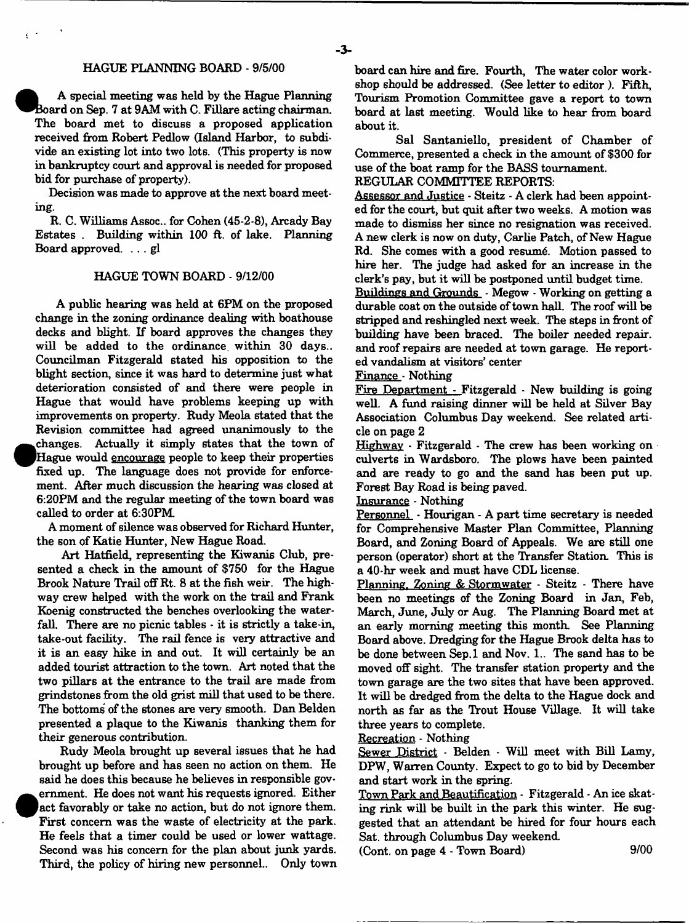# **HAGUE PLANNING BOARD - 9/5/00**

**| A special meeting was held by the Hague Planning Board on Sep. 7 at 9AM with C. Fillare acting chairman The board met to discuss a proposed application received from Robert Pedlow (Island Harbor, to subdivide an existing lot into two lots. (This property is now in bankruptcy court and approval is needed for proposed bid for purchase of property).**

**Decision was made to approve at the next board meeting.**

**R. C. Williams Assoc., for Cohen (45-2-8), Arcady Bay Estates . Building within 100 ft. of lake. Planning Board approved. . . . gl**

#### **HAGUE TOWN BOARD - 9/12/00**

**A public hearing was held at 6PM on the proposed change in the zoning ordinance dealing with boathouse decks and blight. If board approves the changes they will be added to the ordinance, within 30 days.. Councilman Fitzgerald stated his opposition to the blight section, since it was hard to determine just what deterioration consisted of and there were people in Hague that would have problems keeping up with improvements on property. Rudy Meola stated that the Revision committee had agreed unanimously to the .changes. Actually it simply states that the town of jHague would encourage people to keep their properties fixed up. The language does not provide for enforcement. After much discussion the hearing was closed at 6:20PM and the regular meeting of the town board was called to order at 6:30PM.**

**A moment of silence was observed for Richard Hunter, the son of Katie Hunter, New Hague Road.**

**Art Hatfield, representing the Kiwanis Club, presented a check in the amount of \$750 for the Hague Brook Nature Trail off Rt. 8 at the fish weir. The highway crew helped with the work on the trail and Frank Koenig constructed the benches overlooking the waterfall. There are no picnic tables - it is strictly a take-in, take-out facility. The rail fence is very attractive and it is an easy hike in and out. It will certainly be an added tourist attraction to the town. Art noted that the two pillars at the entrance to the trail are made from grindstones from the old grist mill that used to be there. The bottoms of the stones are very smooth. Dan Belden presented a plaque to the Kiwanis thanking them for their generous contribution.**

**Rudy Meola brought up several issues that he had brought up before and has seen no action on them. He said he does this because he believes in responsible gov- . eminent. He does not want his requests ignored. Either |a ct favorably or take no action, but do not ignore them. First concern was the waste of electricity at the park. He feels that a timer could be used or lower wattage. Second was his concern for the plan about junk yards. Third, the policy of hiring new personnel.. Only town** **board can hire and fire. Fourth, The water color workshop should be addressed. (See letter to editor ). Fifth, Tourism Promotion Committee gave a report to town board at last meeting. Would like to hear from board about it.**

**Sal Santaniello, president of Chamber of Commerce, presented a check in the amount of** \$300 **for use of the boat ramp for the BASS tournament.**

**REGULAR COMMITTEE REPORTS:**

**Assessor and Justice - Steitz - A clerk had been appointed for the court, but quit after two weeks. A motion was made to dismiss her since no resignation was received. A new clerk is now on duty, Carlie Patch, of New Hague Rd. She comes with a good resumg. Motion passed to hire her. The judge had asked for an increase in the clerk's pay, but it will be postponed until budget time.**

**Buildings and Grounds - Megow - Working on getting a durable coat on the outside of town hall. The roof will be stripped and reshingled next week. The steps in front of building have been braced. The boiler needed repair, and roof repairs are needed at town garage. He reported vandalism at visitors' center**

Finance Nothing

**Fire Department - Fitzgerald - New building is going well. A fund raising dinner will be held at Silver Bay Association Columbus Day weekend. See related article on page 2**

**Highway - Fitzgerald - The crew has been working on culverts in Wardsboro. The plows have been painted and are ready to go and the sand has been put up. Forest Bay Road is being paved.**

**Insurance - Nothing**

**Personnel - Hourigan - A part time secretary is needed for Comprehensive Master Plan Committee, Planning Board, and Zoning Board of Appeals. We are still one person (operator) short at the Transfer Station. This is a** 40**-hr week and must have CDL license.**

**Planning. Zoning & Stormwater - Steitz - There have been no meetings of the Zoning Board in Jan, Feb, March, June, July or Aug. The Planning Board met at an early morning meeting this month. See Planning Board above. Dredging for the Hague Brook delta has to be done between Sep.l and Nov. 1.. The sand has to be moved off sight. The transfer station property and the town garage are the two sites that have been approved. It will be dredged from the delta to the Hague dock and north as far as the Trout House Village. It will take three years to complete.**

**Recreation - Nothing**

**Sewer District - Belden - Will meet with Bill Lamy, DPW, Warren County. Expect to go to bid by December and start work in the spring.**

**Town Park and Beautification - Fitzgerald - An ice skating rink will be built in the park this winter. He suggested that an attendant be hired for four hours each Sat. through Columbus Day weekend.**

**(Cont. on page** 4 **- Town Board)** 9/00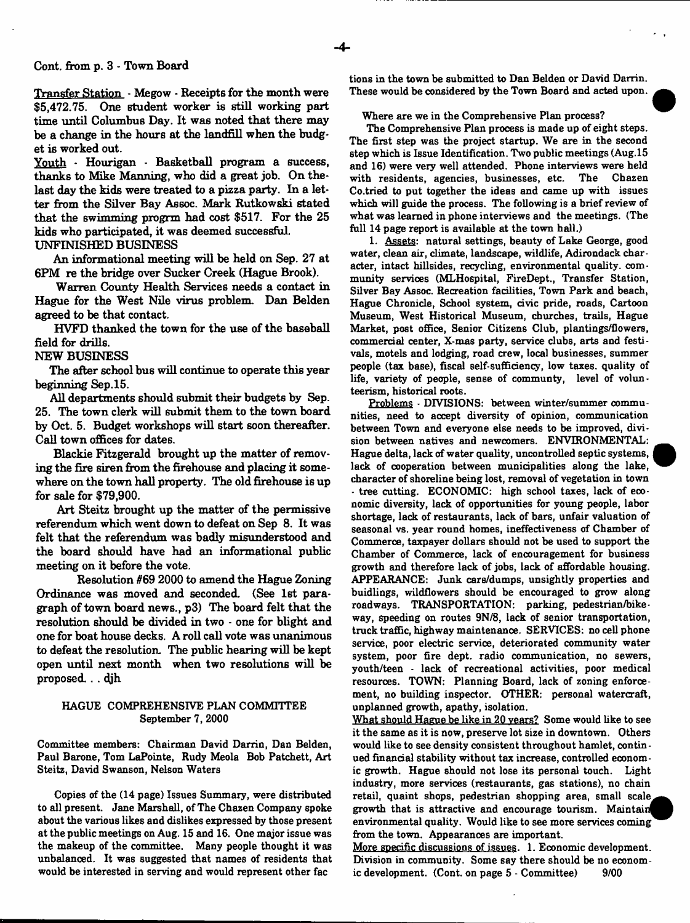#### **Cont. from p. 3 - Town Board**

**Transfer Station - Megow - Receipts for the month were \$5,472.75. One student worker is still working part time until Columbus Day. It was noted that there may be a change in the hours at the landfill when the budget is worked out.**

**Youth - Hourigan - Basketball program a success, thanks to Mike Manning, who did a great job. On thelast day the kids were treated to a pizza party. In a letter from the Silver Bay Assoc. Mark Rutkowski stated** that the swimming progrm had cost \$517. For the 25 **kids who participated, it was deemed successful**

# **UNFINISHED BUSINESS**

**An informational meeting will be held on Sep. 27 at 6PM re the bridge over Sucker Creek (Hague Brook).**

**Warren County Health Services needs a contact in Hague for the West Nile virus problem. Dan Belden agreed to be that contact.**

**HVFD thanked the town for the use of the baseball field for drills.**

# **NEW BUSINESS**

**The after school bus will continue to operate this year beginning Sep. 15.**

**All departments should submit their budgets by Sep. 25. The town clerk will submit them to the town board by Oct. 5. Budget workshops will start soon thereafter. Call town offices for dates.**

**Blackie Fitzgerald brought up the matter of removing the fire siren from the firehouse and placing it somewhere on the town hall property. The old firehouse is up for sale for \$79,900.**

**Art Steitz brought up the matter of the permissive referendum which went down to defeat on Sep 8. It was felt that the referendum was badly misunderstood and the board should have had an informational public meeting on it before the vote.**

**Resolution #69 2000 to amend the Hague Zoning Ordinance was moved and seconded. (See 1st paragraph of town board news., p3) The board felt that the resolution should be divided in two - one for blight and one for boat house decks. A roll call vote was unanimous to defeat the resolution. The public hearing will be kept open until next month when two resolutions will be proposed.. . djh**

# HAGUE COMPREHENSIVE PLAN COMMITTEE September 7, 2000

Committee members: Chairman David Darrin, Dan Belden, Paul Barone, Tom LaPointe, Rudy Meola Bob Patchett, Art Steitz, David Swanson, Nelson Waters

Copies of the (14 page) Issues Summary, were distributed to all present. Jane Marshall, of The Chazen Company spoke about the various likes and dislikes expressed by those present at the public meetings on Aug. 15 and 16. One major issue was the makeup of the committee. Many people thought it was unbalanced. It was suggested that names of residents that would be interested in serving and would represent other fac

tions in the town be submitted to Dan Belden or David Darrin. These would be considered by the Town Board and acted upon.

#### Where are we in the Comprehensive Plan process?

The Comprehensive Plan process is made up of eight steps. The first step was the project startup. We are in the second step which is Issue Identification. Two public meetings (Aug.15 and 16) were very well attended. Phone interviews were held with residents, agencies, businesses, etc. The Chazen Co.tried to put together the ideas and came up with issues which will guide the process. The following is a brief review of what was learned in phone interviews and the meetings. (The full 14 page report is available at the town hall.)

1. Assets: natural settings, beauty of Lake George, good water, clean air, climate, landscape, wildlife, Adirondack character, intact hillsides, recycling, environmental quality, community services (MLHospital, FireDept., Transfer Station, Silver Bay Assoc. Recreation facilities, Town Park and beach, Hague Chronicle, School system, civic pride, roads, Cartoon Museum, West Historical Museum, churches, trails, Hague Market, post office, Senior Citizens Club, plantings/flowers, commercial center, X-mas party, service clubs, arts and festivals, motels and lodging, road crew, local businesses, summer people (tax base), fiscal self-sufficiency, low taxes, quality of life, variety of people, sense of communty, level of volun teerism, historical roots.

Problems - DIVISIONS: between winter/summer communities, need to accept diversity of opinion, communication between Town and everyone else needs to be improved, division between natives and newcomers. ENVIRONMENTAL: Hague delta, lack of water quality, uncontrolled septic systems, lack of cooperation between municipalities along the lake, character of shoreline being lost, removal of vegetation in town - tree cutting. ECONOMIC: high school taxes, lack of economic diversity, lack of opportunities for young people, labor shortage, lack of restaurants, lack of bars, unfair valuation of seasonal vs. year round homes, ineffectiveness of Chamber of Commerce, taxpayer dollars should not be used to support the Chamber of Commerce, lack of encouragement for business growth and therefore lack of jobs, lack of affordable housing. APPEARANCE: Junk cars/dumps, unsightly properties and buidlings, wildflowers should be encouraged to grow along roadways. TRANSPORTATION: parking, pedestrian/bikeway, speeding on routes 9N/8, lack of senior transportation, truck traffic, highway maintenance. SERVICES: no cell phone service, poor electric service, deteriorated community water system, poor fire dept, radio communication, no sewers, youth/teen - lack of recreational activities, poor medical resources. TOWN: Planning Board, lack of zoning enforcement, no building inspector. OTHER: personal watercraft, unplanned growth, apathy, isolation.

What should Hague be like in 20 years? Some would like to see it the same as it is now, preserve lot size in downtown. Others would like to see density consistent throughout hamlet, continued financial stability without tax increase, controlled economic growth. Hague should not lose its personal touch. Light industry, more services (restaurants, gas stations), no chain retail, quaint shops, pedestrian shopping area, small scale growth that is attractive and encourage tourism. Maintain environmental quality. Would like to see more services coming from the town. Appearances are important.

More specific discussions of issues. 1. Economic development. Division in community. Some say there should be no economic development. (Cont. on page 5 - Committee) 9/00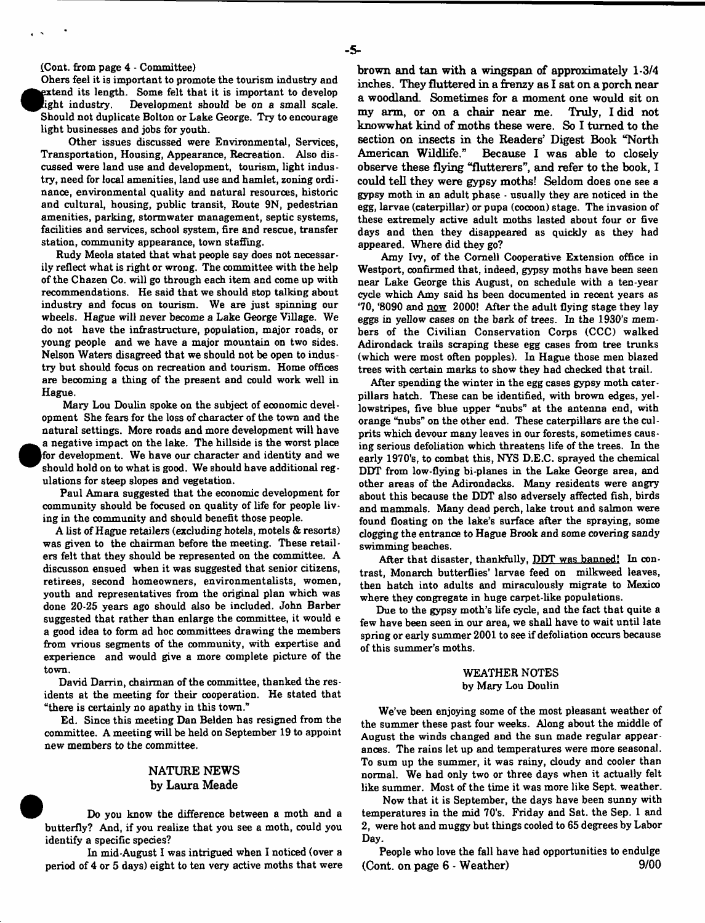(Cont. from page 4 - Committee)

Ohers feel it is important to promote the tourism industry and  $\bullet$ xtend its length. Some felt that it is important to develop ight industry. Development should be on a small scale. Should not duplicate Bolton or Lake George. Try to encourage light businesses and jobs for youth.

Other issues discussed were Environmental, Services, Transportation, Housing, Appearance, Recreation. Also discussed were land use and development, tourism, light industry, need for local amenities, land use and hamlet, zoning ordinance, environmental quality and natural resources, historic and cultural, housing, public transit, Route 9N, pedestrian amenities, parking, stormwater management, septic systems, facilities and services, school system, fire and rescue, transfer station, community appearance, town staffing.

Rudy Meola stated that what people say does not necessarily reflect what is right or wrong. The committee with the help of the Chazen Co. will go through each item and come up with recommendations. He said that we should stop talking about industry and focus on tourism. We are just spinning our wheels. Hague will never become a Lake George Village. We do not have the infrastructure, population, major roads, or young people and we have a major mountain on two sides. Nelson Waters disagreed that we should not be open to industry but should focus on recreation and tourism. Home offices are becoming a thing of the present and could work well in Hague.

Mary Lou Doulin spoke on the subject of economic development She fears for the loss of character of the town and the natural settings. More roads and more development will have  $\bullet$ a negative impact on the lake. The hillside is the worst place for development. We have our character and identity and we should hold on to what is good. We should have additional regulations for steep slopes and vegetation.

Paul Amara suggested that the economic development for community should be focused on quality of life for people living in the community and should benefit those people.

A list of Hague retailers (excluding hotels, motels *&* resorts) was given to the chairman before the meeting. These retailers felt that they should be represented on the committee. A discusson ensued when it was suggested that senior citizens, retirees, second homeowners, environmentalists, women, youth and representatives from the original plan which was done 20-25 years ago should also be included. John Barber suggested that rather than enlarge the committee, it would e a good idea to form ad hoc oommittees drawing the members from vrious segments of the community, with expertise and experience and would give a more complete picture of the town.

David Darrin, chairman of the committee, thanked the residents at the meeting for their cooperation. He stated that "there is certainly no apathy in this town."

Ed. Since this meeting Dan Belden has resigned from the committee. A meeting will be held on September 19 to appoint new members to the committee.

# **NATURE NEWS by Laura Meade**

Do you know the difference between a moth and a butterfly? And, if you realize that you see a moth, could you identify a specific species?

In mid-August I was intrigued when I noticed (over a period of 4 or 5 days) eight to ten very active moths that were **brown and tan with a wingspan of approximately 1-3/4 inches. They fluttered in a frenzy as I sat on a porch near a woodland. Sometimes for a moment one would sit on my arm, or on a chair near me. Truly, I did not knowwhat kind of moths these were. So I turned to the section on insects in the Readers' Digest Book "North American Wildlife." Because I was able to closely observe these flying "flutterers", and refer to the book, I could tell they were gypsy moths! Seldom does one see a gypsy moth in an adult phase • usually they are noticed in the egg, larvae (caterpillar) or pupa (cocoon) stage. The invasion of these extremely active adult moths lasted about four or five days and then they disappeared as quickly as they had appeared. Where did they go?**

Amy Ivy, of the Cornell Cooperative Extension office in Westport, confirmed that, indeed, gypsy moths have been seen near Lake George this August, on schedule with a ten-year cycle which Amy said hs been documented in recent years as '70, '8090 and now 2000! After the adult flying stage they lay eggs in yellow cases on the bark of trees. In the 1930's members of the Civilian Conservation Corps (CCC) walked Adirondack trails scraping these egg cases from tree trunks (which were most often popples). In Hague those men blazed trees with certain marks to show they had checked that trail.

After spending the winter in the egg cases gypsy moth caterpillars hatch. These can be identified, with brown edges, yellowstripes, five blue upper "nubs" at the antenna end, with orange "nubs" on the other end. These caterpillars are the culprits which devour many leaves in our forests, sometimes causing serious defoliation which threatens life of the trees. In the early 1970's, to combat this, NYS D.E.C. sprayed the chemical DDT from low-flying bi-planes in the Lake George area, and other areas of the Adirondacks. Many residents were angry about this because the DDT also adversely affected fish, birds and mammals. Many dead perch, lake trout and salmon were found floating on the lake's surface after the spraying, some clogging the entrance to Hague Brook and some covering sandy swimming beaches.

After that disaster, thankfully, DDT was banned! In contrast, Monarch butterflies' larvae feed on milkweed leaves, then hatch into adults and miraculously migrate to Mexioo where they congregate in huge carpet-like populations.

Due to the gypsy moth's life cycle, and the fact that quite a few have been seen in our area, we shall have to wait until late spring or early summer 2001 to see if defoliation occurs because of this summer's moths.

#### WEATHER NOTES by Mary Lou Doulin

We've been enjoying some of the most pleasant weather of the summer these past four weeks. Along about the middle of August the winds changed and the sun made regular appearances. The rains let up and temperatures were more seasonal. To sum up the summer, it was rainy, cloudy and cooler than normal. We had only two or three days when it actually felt like summer. Most of the time it was more like Sept. weather.

Now that it is September, the days have been sunny with temperatures in the mid 70's. Friday and Sat. the Sep. 1 and 2, were hot and muggy but things cooled to 65 degrees by Labor Day.

People who love the fall have had opportunities to endulge **(Cont. on page 6 - Weather) 9/00**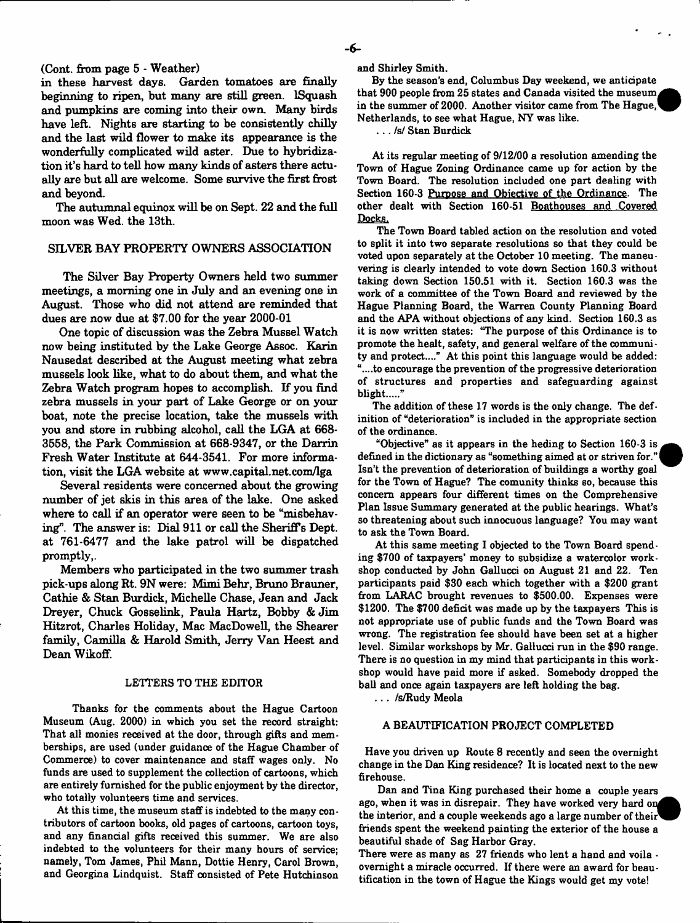### **(Cont. from page 5 - Weather)**

**in these harvest days. Garden tomatoes are finally beginning to ripen, but many are still green. IS quash and pumpkins are coming into their own. Many birds have left. Nights are starting to be consistently chilly and the last wild flower to make its appearance is the wonderfully complicated wild aster. Due to hybridiza\* tion it's hard to tell how many kinds of asters there actually are but all are welcome. Some survive the first frost and beyond.**

**The autumnal equinox will be on Sept. 22 and the full moon was Wed. the 13th.**

#### **SILVER BAY PROPERTY OWNERS ASSOCIATION**

**The Silver Bay Property Owners held two summer meetings, a morning one in July and an evening one in August. Those who did not attend are reminded that dues are now due at \$7.00 for the year 2000-01**

**One topic of discussion was the Zebra Mussel Watch now being instituted by the Lake George Assoc. Karin Nausedat described at the August meeting what zebra mussels look like, what to do about them, and what the Zebra Watch program hopes to accomplish. If you find zebra mussels in your part of Lake George or on your boat, note the precise location, take the mussels with you and store in rubbing alcohol, call the LGA at 668- 3558, the Park Commission at 668-9347, or the Darrin Fresh Water Institute at 644-3541. For more information, visit the LGA website at [www.capital.net.com/lga](http://www.capital.net.com/lga)**

**Several residents were concerned about the growing number of jet skis in this area of the lake. One asked where to call if an operator were seen to be "misbehaving". The answer is: Dial 911 or call the Sheriffs Dept, at 761-6477 and the lake patrol will be dispatched promptly,.**

**Members who participated in the two summer trash pick-ups along Rt. 9N were: Mimi Behr, Bruno Brauner, Cathie & Stan Burdick, Michelle Chase, Jean and Jack** Dreyer, Chuck Gosselink, Paula Hartz, Bobby & Jim **Hitzrot, Charles Holiday, Mac MacDowell, the Shearer family, Camilla & Harold Smith, Jerry Van Heest and Dean Wikoff.**

#### LETTERS TO THE EDITOR

Thanks for the comments about the Hague Cartoon Museum (Aug. 2000) in which you set the record straight: That all monies received at the door, through gifts and memberships, are used (under guidance of the Hague Chamber of Commerce) to cover maintenance and staff wages only. No funds are used to supplement the collection of cartoons, which are entirely furnished for the public enjoyment by the director, who totally volunteers time and services.

At this time, the museum staff is indebted to the many contributors of cartoon books, old pages of cartoons, cartoon toys, and any financial gifts received this summer. We are also indebted to the volunteers for their many hours of service; namely, Tom James, Phil Mann, Dottie Henry, Carol Brown, and Georgina Lindquist. Staff consisted of Pete Hutchinson and Shirley Smith.

By the season's end, Columbus Day weekend, we anticipate that 900 people from 25 states and Canada visited the museum in the summer of 2000. Another visitor came from The Hague, Netherlands, to see what Hague, NY was like.

. .. /s/ Stan Burdick

At its regular meeting of 9/12/00 a resolution amending the Town of Hague Zoning Ordinance came up for action by the Town Board. The resolution included one part dealing with Section 160-3 Purpose and Objective of the Ordinance. The other dealt with Section 160-51 Boathouses and Covered Docks.

The Town Board tabled action on the resolution and voted to split it into two separate resolutions so that they could be voted upon separately at the October 10 meeting. The maneuvering is clearly intended to vote down Section 160.3 without taking down Section 150.51 with it. Section 160.3 was the work of a committee of the Town Board and reviewed by the Hague Planning Board, the Warren County Planning Board and the APA without objections of any kind. Section 160.3 as it is now written states: "The purpose of this Ordinance is to promote the healt, safety, and general welfare of the community and protect...." At this point this language would be added: "....to encourage the prevention of the progressive deterioration of structures and properties and safeguarding against blight....."

The addition of these 17 words is the only change. The definition of "deterioration" is included in the appropriate section of the ordinance.

"Objective" as it appears in the heding to Section 160-3 is defined in the dictionary as "something aimed at or striven for." Isn't the prevention of deterioration of buildings a worthy goal for the Town of Hague? The comunity thinks so, because this concern appears four different times on the Comprehensive Plan Issue Summary generated at the public hearings. What's so threatening about such innocuous language? You may want to ask the Town Board.

At this same meeting I objected to the Town Board spending \$700 of taxpayers' money to subsidize a watercolor workshop conducted by John Gallucci on August 21 and 22. Ten participants paid \$30 each which together with a \$200 grant from LARAC brought revenues to \$500.00. Expenses were \$1200. The \$700 deficit was made up by the taxpayers This is not appropriate use of public funds and the Town Board was wrong. The registration fee should have been set at a higher level. Similar workshops by Mr. Gallucci run in the \$90 range. There is no question in my mind that participants in this workshop would have paid more if asked. Somebody dropped the ball and once again taxpayers are left holding the bag.

. . . /s/Rudy Meola

#### A BEAUTIFICATION PROJECT COMPLETED

Have you driven up Route 8 recently and seen the overnight change in the Dan King residence? It is located next to the new firehouse.

Dan and Tina King purchased their home a couple years ago, when it was in disrepair. They have worked very hard on the interior, and a couple weekends ago a large number of their friends spent the weekend painting the exterior of the house a beautiful shade of Sag Harbor Gray.

There were as many as 27 friends who lent a hand and voila overnight a miracle occurred. If there were an award for beautification in the town of Hague the Kings would get my vote!

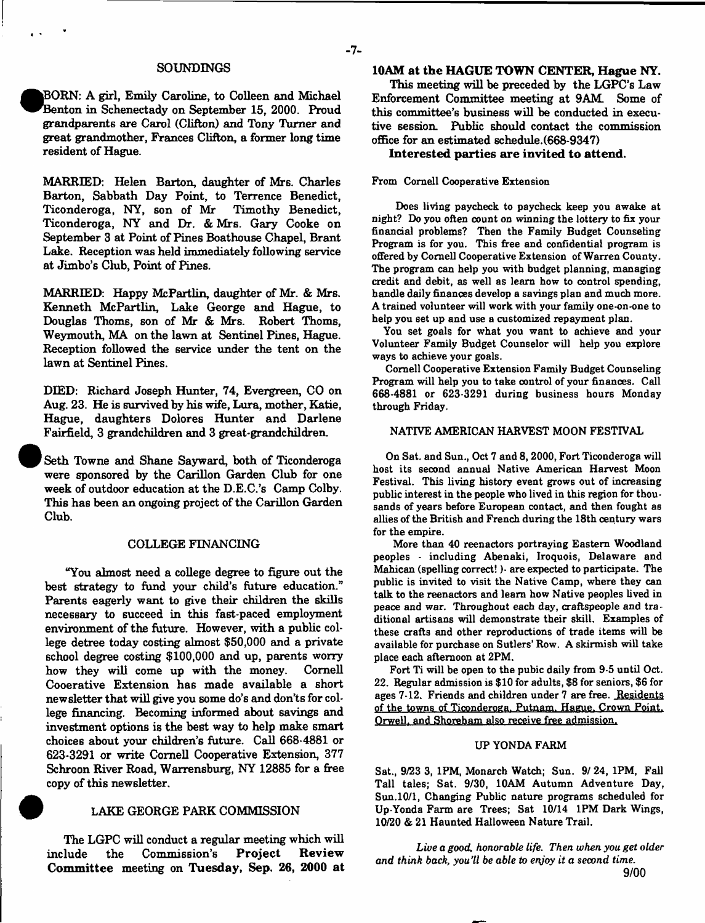#### **SOUNDINGS**

• **jBORN: A girl, Emily Caroline, to Colleen and Michael Benton in Schenectady on September 15, 2000. Proud grandparents are Carol (Clifton) and Tony Turner and great grandmother, Frances Clifton, a former long time resident of Hague.**

**MARRIED: Helen Barton, daughter of Mrs. Charles Barton, Sabbath Day Point, to Terrence Benedict,** Ticonderoga, NY, son of Mr **Ticonderoga, NY and Dr. & Mrs. Gary Cooke on September 3 at Point of Pines Boathouse Chapel, Brant Lake. Reception was held immediately following service at Jimbo's Club, Point of Pines.**

**MARRIED: Happy McPartlin, daughter of Mr. & Mrs. Kenneth McPartlin, Lake George and Hague, to Douglas Thoms, son of Mr & Mrs. Robert Thoms, Weymouth, MA on the lawn at Sentinel Pines, Hague. Reception followed the service under the tent on the lawn at Sentinel Pines.**

**DIED: Richard Joseph Hunter, 74, Evergreen, CO on Aug. 23. He is survived by his wife, Lura, mother, Katie, Hague, daughters Dolores Hunter and Darlene Fairfield, 3 grandchildren and 3 great-grandchildren.**

**Seth Towne and Shane Sayward, both of Ticonderoga were sponsored by the Carillon Garden Club for one week of outdoor education at the D.E.C.'s Camp Colby. This has been an ongoing project of the Carillon Garden Club.**

#### **COLLEGE FINANCING**

**''You almost need a college degree to figure out the best strategy to fund your child's future education." Parents eagerly want to give their children the skills necessary to succeed in this fast-paced employment environment of the future. However, with a public college detree today costing almost \$50,000 and a private school degree costing \$100,000 and up, parents worry how they will come up with the money. Cornell Cooerative Extension has made available a short newsletter that will give you some do's and don'ts for college financing. Becoming informed about savings and investment options is the best way to help make smart choices about your children's future. Call 668-4881 or 623-3291 or write Cornell Cooperative Extension, 377** Schroon River Road, Warrensburg, NY 12885 for a free **copy of this newsletter.**

#### **0 LAKE GEORGE PARK COMMISSION**

**The LGPC will conduct a regular meeting which will** include the Commission's Project Review **Com m ittee meeting on Tuesday, Sep. 26, 2000 at**

## **10AM at the HAGUE TOWN CENTER, Hague NY.**

**This meeting will be preceded by the LGPC's Law Enforcement Committee meeting at 9AM Some of this committee's business will be conducted in executive session Public should contact the commission office for an estimated schedule.(668\*9347)**

**Interested parties are invited to attend.**

#### From Cornell Cooperative Extension

Does living paycheck to paycheck keep you awake at night? Do you often count on winning the lottery to fix your financial problems? Then the Family Budget Counseling Program is for you. This free and confidential program is offered by Cornell Cooperative Extension of Warren County. The program can help you with budget planning, managing credit and debit, as well as learn how to control spending, handle daily finances develop a savings plan and much more. A trained volunteer will work with your family one-on-one to help you set up and use a customized repayment plan.

You set goals for what you want to achieve and your Volunteer Family Budget Counselor will help you explore ways to achieve your goals.

Cornell Cooperative Extension Family Budget Counseling Program will help you to take oontrol of your finanoes. Call 668-4881 or 623-3291 during business hours Monday through Friday.

## NATIVE AMERICAN HARVEST MOON FESTIVAL

On Sat. and Sun., Oct 7 and 8,2000, Fort Ticonderoga will host its second annual Native American Harvest Moon Festival. This living history event grows out of increasing public interest in the people who lived in this region for thousands of years before European contact, and then fought as allies of the British and French during the 18th century wars for the empire.

More than 40 reenactors portraying Eastern Woodland peoples - including Abenaki, Iroquois, Delaware and Mahican (spelling correct!)- are expected to participate. The public is invited to visit the Native Camp, where they can talk to the reenactors and learn how Native peoples lived in peace and war. Throughout each day, craftspeople and traditional artisans will demonstrate their skill. Examples of these crafts and other reproductions of trade items will be available for purchase on Sutlers' Row. A skirmish will take place each afternoon at 2PM.

Fort Ti will be open to the pubic daily from 9-5 until Oct. 22. Regular admission is \$10 for adults, \$8 for seniors, \$6 for ages 7-12. Friends and children under 7 are free. Residents of the towns of Ticonderoga. Putnam. Hague. Crown Pomt, Orwell, and Shoreham also receive free admission.

## UP YONDA FARM

Sat., 9/23 3, 1PM, Monarch Watch; Sun. 9/ 24, 1PM, Fall Tall tales; Sat. 9/30, 10AM Autumn Adventure Day, Sun. 10/1, Changing Public nature programs scheduled for Up-Yonda Farm are Trees; Sat 10/14 1PM Dark Wings, 10/20 & 21 Haunted Halloween Nature Trail.

*Live a good, honorable life. Then when you get older and think back, you'll be able to enjoy it a second time.* **9/00**